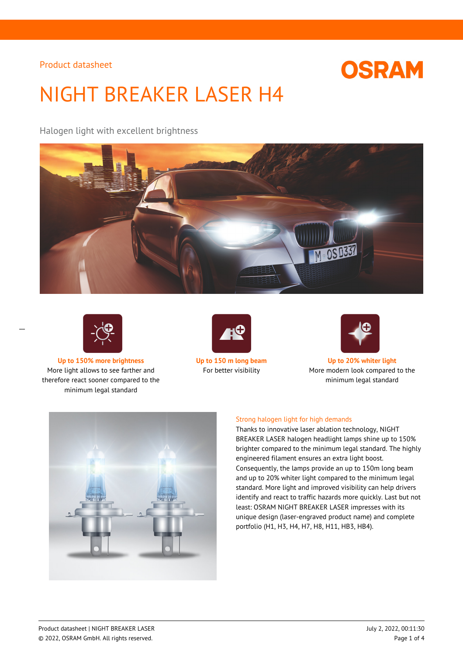

# NIGHT BREAKER LASER H4

Halogen light with excellent brightness





 $\overline{a}$ 

**Up to 150% more brightness Up to 150 m long beam Up to 20% whiter light** More light allows to see farther and therefore react sooner compared to the minimum legal standard





For better visibility More modern look compared to the minimum legal standard



## Strong halogen light for high demands

Thanks to innovative laser ablation technology, NIGHT BREAKER LASER halogen headlight lamps shine up to 150% brighter compared to the minimum legal standard. The highly engineered filament ensures an extra light boost. Consequently, the lamps provide an up to 150m long beam and up to 20% whiter light compared to the minimum legal standard. More light and improved visibility can help drivers identify and react to traffic hazards more quickly. Last but not least: OSRAM NIGHT BREAKER LASER impresses with its unique design (laser-engraved product name) and complete portfolio (H1, H3, H4, H7, H8, H11, HB3, HB4).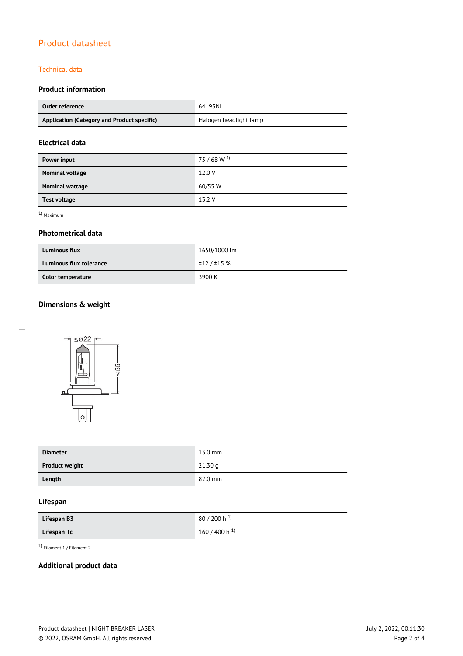### Technical data

## **Product information**

| Order reference                             | 64193NL                |  |
|---------------------------------------------|------------------------|--|
| Application (Category and Product specific) | Halogen headlight lamp |  |

# **Electrical data**

| Power input         | $75/68 W^{1}$ |
|---------------------|---------------|
| Nominal voltage     | 12.0 V        |
| Nominal wattage     | 60/55 W       |
| <b>Test voltage</b> | 13.2 V        |

1) Maximum

### **Photometrical data**

| <b>Luminous flux</b>     | 1650/1000 lm |
|--------------------------|--------------|
| Luminous flux tolerance  | ±12/±15%     |
| <b>Color temperature</b> | 3900 K       |

# **Dimensions & weight**



| <b>Diameter</b>       | $13.0$ mm |
|-----------------------|-----------|
| <b>Product weight</b> | 21.30 g   |
| Length                | 82.0 mm   |

## **Lifespan**

| Lifespan B3 | $80/200 h$ <sup>1)</sup> |
|-------------|--------------------------|
| Lifespan Tc | 160 / 400 h $^{1}$       |

1) Filament 1 / Filament 2

## **Additional product data**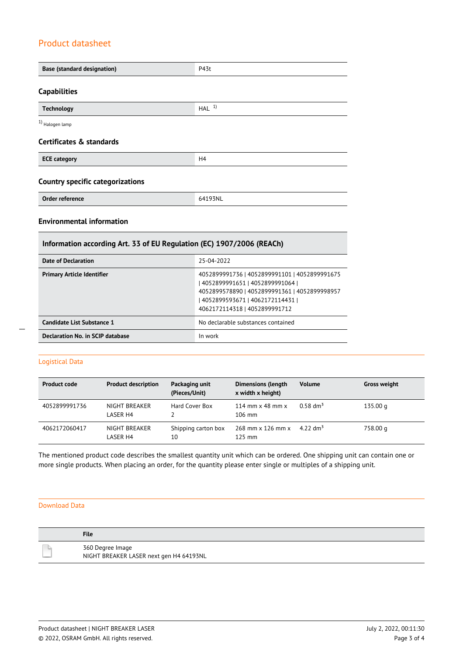| <b>Base (standard designation)</b>      | P43t             |  |
|-----------------------------------------|------------------|--|
| <b>Capabilities</b>                     |                  |  |
| <b>Technology</b>                       | HAL <sup>1</sup> |  |
| <sup>1</sup> ) Halogen lamp             |                  |  |
| Certificates & standards                |                  |  |
| <b>ECE category</b>                     | H4               |  |
| <b>Country specific categorizations</b> |                  |  |
| Order reference                         | 64193NL          |  |
|                                         |                  |  |

## **Environmental information**

## **Information according Art. 33 of EU Regulation (EC) 1907/2006 (REACh)**

| Date of Declaration               | 25-04-2022                                                                                                                                                                                                |
|-----------------------------------|-----------------------------------------------------------------------------------------------------------------------------------------------------------------------------------------------------------|
| <b>Primary Article Identifier</b> | 4052899991736   4052899991101   4052899991675<br>  4052899991651   4052899991064  <br>4052899578890   4052899991361   4052899998957<br>  4052899593671   4062172114431  <br>4062172114318   4052899991712 |
| Candidate List Substance 1        | No declarable substances contained                                                                                                                                                                        |
| Declaration No. in SCIP database  | In work                                                                                                                                                                                                   |

 $\overline{a}$ 

| <b>Product code</b> | <b>Product description</b> | Packaging unit<br>(Pieces/Unit) | <b>Dimensions (length</b><br>x width x height)     | <b>Volume</b>          | <b>Gross weight</b> |
|---------------------|----------------------------|---------------------------------|----------------------------------------------------|------------------------|---------------------|
| 4052899991736       | NIGHT BREAKER<br>I ASFR H4 | Hard Cover Box                  | 114 mm $\times$ 48 mm $\times$<br>$106 \text{ mm}$ | $0.58$ dm <sup>3</sup> | 135.00 g            |
| 4062172060417       | NIGHT BREAKER<br>LASER H4  | Shipping carton box<br>10       | 268 mm x 126 mm x<br>$125$ mm                      | 4.22 dm <sup>3</sup>   | 758.00 q            |

The mentioned product code describes the smallest quantity unit which can be ordered. One shipping unit can contain one or more single products. When placing an order, for the quantity please enter single or multiples of a shipping unit.

#### Download Data

| File                                                        |
|-------------------------------------------------------------|
| 360 Degree Image<br>NIGHT BREAKER LASER next gen H4 64193NL |